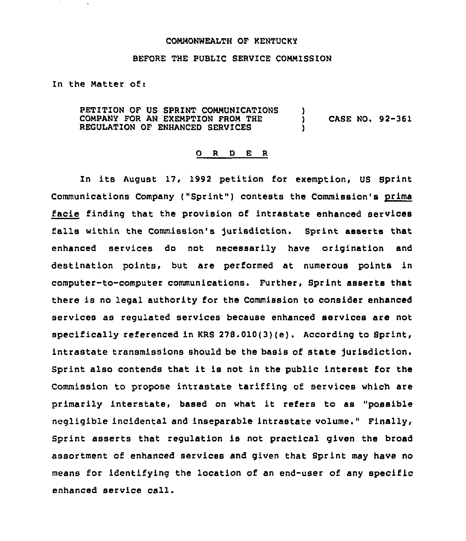#### COMMONWEALTH OF KENTUCKY

### BEFORE THE PUBLIC SERVICE COMMISSION

In the Matter of:

PETITION OF US SPRINT COMMUNICATIONS )<br>COMPANY FOR AN EXEMPTION FROM THE COMPANY FOR AN EXEMPTION FROM THE ) CASE NO. 92-361 REGULATION OF ENHANCED SERVICES

#### 0 <sup>R</sup> <sup>D</sup> E <sup>R</sup>

In its August 17, 1992 petition for exemption, US Sprint Communications Company ("Sprint") contests the Commission's prima facie finding that the provision of intrastate enhanced services falls within the Commission's jurisdiction. Sprint asserts that enhanced services do not necessarily have origination and destination points, but are performed at numerous points in computer-to-computer communications. Further, Sprint asserts that there is no legal authority for the Commission to consider enhanced services as regulated services because enhanced services are not specifically referenced in KRS 278.010(3)(e). According to Sprint, intrastate transmissions should be the basis of state jurisdiction. Sprint also contends that it is not in the public interest for the Commission to propose intrastate tariffing of services which are primarily interstate, based on what it refers to as "possible negligible incidental and inseparable intrastate volume." Finally, Sprint asserts that regulation is not practical given the broad assortment of enhanced services and given that Sprint may have no means for identifying the location of an end-user of any specific enhanced service call.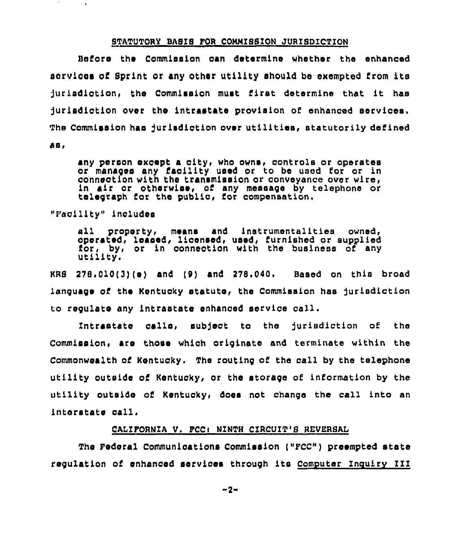## STATOTORY BASIS FOR CONNZSSZON JURISDICTION

Before the Commission can determine whether the enhanced aorvioes of Sprint or any other utility should be exempted from its jurisdiction, the Commission must first determine that it has jurisdiction over the intrastate provision of enhanced services. The Commission haa jurisdiction over utilities, statutorily det'ined

aa,

any person except a city, who owns, controls or operates or manages any facility used or to be used for or in conneotion with the transmission or conveyance over wire, in air or otherwiae, of any message by telephone or telegraph for the public, for compensation.

"Facility" includes

sll property, means and instrumentalities owned, operated, leased, licensed, used, furnished or supplied for, by, or in conneotion with the business of any utility.

 $KRB = 278.010(3)(e)$  and  $(9)$  and  $278.040$ . Based on this broad language of the Kentucky statute, the Commission has jurisdiction to regulate any intrastate enhanced service call.

Intrastate calla, subject to the jurisdiction of the Commission, are those which originate and terminate within the Commonwealth of Kentucky, The routing of the call by the telephone utility outside of Kentucky, or the storage of information by the utility outside of Kentuoky, does not change the call into an interstate call.

# CALIFORNIA V. FCCI NINTH CIRCUIT'S REVERSAL

The Federal Communications Commission ("FCC") preempted state regulation of enhanced services through its Computer Inquiry III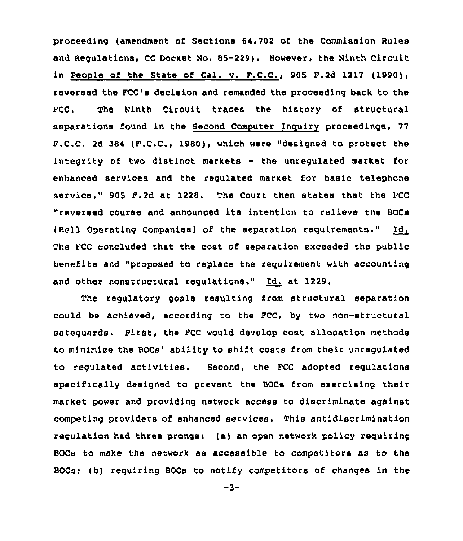proceeding (amendment of Sections 64.702 of the Commission Rules and Regulations, CC Docket No. 85-229). However, the Ninth Circuit in People of the State of Cal. v. F.C.C,, 905 F,2d 1217 (1990), reversed the FCC's decision and remanded the proceeding back to the FCC. The Ninth Circuit traces the history of structural separations found in the Second Computer Inquiry proceedings, 77 F.C.C. 2d 384 (F.C.C., 1980), which were "designed to protect the integrity of two distinct markets - the unregulated market for enhanced services and the regulated market for basic telephone service," 905 F.2d at 1228. The Court then states that the FCC "reversed course and announced its intention to relieve the BOCs (Bell Operating Companies] of the separation requirements." Id. The FCC concluded that the cost of separation exceeded the public benefits and "proposed to replace the requirement with accounting and other nonstructural regulations." Id. at 1229.

The regulatory goals resulting from structural separation could be achieved, according to the FCC, by two non-structural safeguards. First, the PCC would develop cost allocation methods to minimize the BOCs' ability to shift costs from their unregulated to regulated activities. Second, the FCC adopted regulations specifically designed to prevent the BOCs from exercising their market power and providing network access to discriminate against competing providers of enhanced services. This antidiscrimination regulation had three prongs: (a) an open network policy requiring BOCs to make the network as accessible to competitors as to the BOCs; (b) requiring BOCs to notify competitors of changes in the

 $-3-$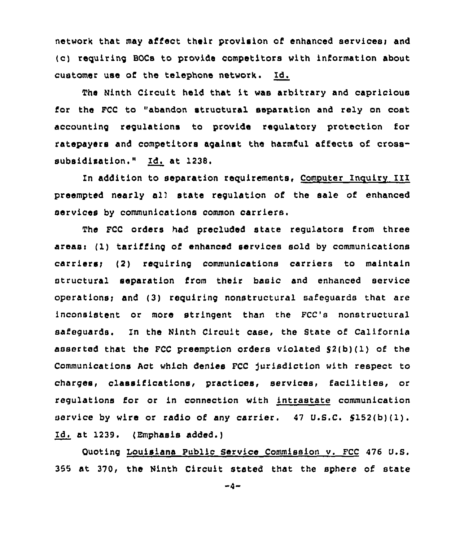network that may affect their provision of enhanced services; and (c) requiring BOCs to provide competitors with information about customer use of the telephone network. Id.

The Ninth Circuit held that it was arbitrary and capricious for the FCC to "abandon structural separation and rely on cost accounting requlations to provide regulatory protection for ratepayers and competitors against the harmful affects of crosssubsidisation." Id. at 1238.

In addition to separation requirements, Computer Inquiry III preempted nearly al) state regulation of the sale of enhanced services by communications common carriers.

The FCC orders had precluded state regulators from three areas: (1) tariffing of enhanced services sold by communications carriersi (2) requiring communications carriers to maintain structural separation from their basic and enhanced service operations; and  $(3)$  requiring nonstructural safeguards that are inconsistent or more stringent than the FCC's nonstructural safeguards. In the Ninth Circuit case, the State of California asserted that the FCC preemption orders violated  $S(2(b))(1)$  of the Communications Act which denies FCC )urisdiction with respect to charges, classifications, practices, services, facilities, or regulations for or in connection with intrastate communication service by wire or radio of any carrier. <sup>47</sup> U.S.C. S152(b)(I). Id. at 1239. (Emphasis added.)

Ouoting Louisiana Public Service Commission v. FCC 476 U.S. 355 at 370, the Ninth Circuit stated that the sphere of state

 $-4-$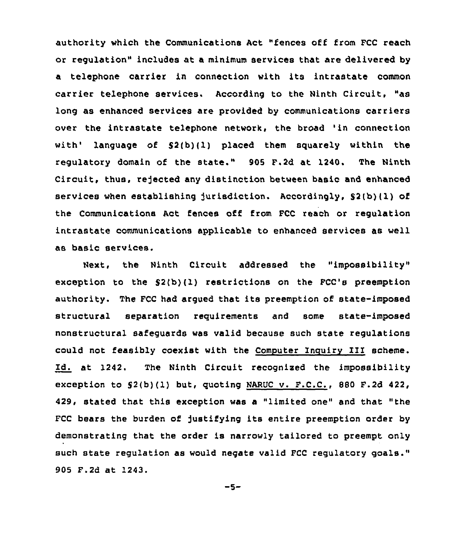authority which the Communications Act "fences off from FCC reach or regulation" includes at a minimum services that are delivered by a telephone carrier in connection with its intrastate common carrier telephone services. According to the Ninth Circuit, "as long as enhanced services are provided by communications carriers over the intrastate telephone network, the broad 'in connection with' language of \$2(b)(l) placed them squarely within the regulatory domain of the state." 905 F.2d at 1240. The Ninth Circuit, thus, rejected any distinction between basic and enhanced services when establishing jurisdiction. Accordingly,  $S(1|b)(1)$  of the Communications Act fences off from FCC reach or regulation intrastate communications applicable to enhanced services as well as basic services.

Next, the Ninth Circuit addressed the "impossibility" exception to the 52(b)(I) restrictions on the FCC's preemption authority. The FCC had argued that its preemption of state-imposed structural separation requirements and some state-imposed nonstructural safeguards was valid because such state regulations could not feasibly coexist with the Computer Inquiry III scheme. Id. at 1242. The Ninth Circuit recognised the impossibility exception to  $$2(b)(1)$  but, quoting NARUC v. F.C.C., 880 F.2d 422, 429, stated that this exception was a "limited one" and that "the FCC bears the burden of justifying its entire preemption order by demonstrating that the order is narrowly tailored to preempt only such state regulation as would negate valid FCC regulatory goals." 905 F.2d at 1243.

 $-5-$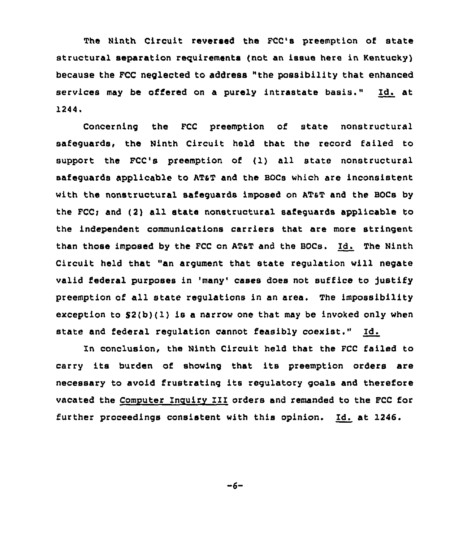The Ninth Circuit reversed the FCC's preemption of state structural separation requirements (not an issue here in Kentucky) because the FCC neglected to address "the possibility that enhanced services may be offered on a purely intrastate basis." Id. at 1244.

Concerning the FCC preemption of state nonstructural safeguards, the Ninth Circuit held that the record failed to support the FCC's preemption of (l) all state nonstructural safeguards applicable to ATaT and the BOCs which are inconsistent with the nonstructural safeguards imposed on AT&T and the BOCs by the FCC; and (2) all state nonstructural safeguards applicable to the independent communications carriers that are more stringent than those imposed by the FCC on ATST and the BOCs. Id. The Ninth Circuit held that "an argument that state regulation will negate valid federal purposes in 'many' cases does not suffice to justify preemption of all state regulations in an area. The impossibility exception to  $S2(b)(1)$  is a narrow one that may be invoked only when state and federal regulation cannot feasibly coexist." Id.

In conclusion, the Ninth Circuit held that the FCC failed to carry its burden of showing that its preemption orders are necessary to avoid frustrating its regulatory goals and therefore vacated the Computer Inguiry III orders and remanded to the FCC for further proceedings consistent with this opinion. Id. at I246.

-6-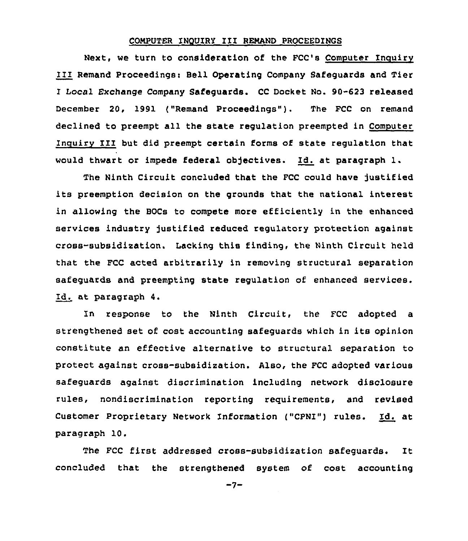### COMPUTER INQUIRI III REMAND PROCEEDINGS

Next, we turn to consideration of the FCC's Computer Inquiry III Remand Proceedings: Bell Operating Company Safeguards and Tier I Local Exchange Company Safeguards. CC Docket No. 90-623 released December 20, 1991 ("Remand Proceedings"). The FCC on remand declined to preempt all the state regulation preempted in Computer Inguirv II1 but did preempt certain forms of state regulation that would thwart or impede federal objectives. Id. at paragraph 1.

The Ninth Circuit concluded that the FCC could have justified its preemption decision on the grounds that the national interest in allowing the BOCs to compete more efficiently in the enhanced services industry justified reduced regulatory protection against cross-subsidization. Lacking this finding, the Ninth Circuit held that the FCC acted arbitrarily in removing structural separation safeguards and preempting state regulation of enhanced services. Id. at paragraph 4.

In response to the Ninth Circuit, the FCC adopted a strengthened set of cost accounting safeguards which in its opinion constitute an effective alternative to structural separation to protect against cross-subsidization. Also, the FCC adopted various safeguards against discrimination including network disclosure rules, nondiscrimination reporting requirements, and revised Customer Proprietary Network Information ("CPNI") rules. Id. at paragraph 10.

The FCC first addressed cross-subsidization safeguards. It concluded that the strengthened system of cost accounting

 $-7-$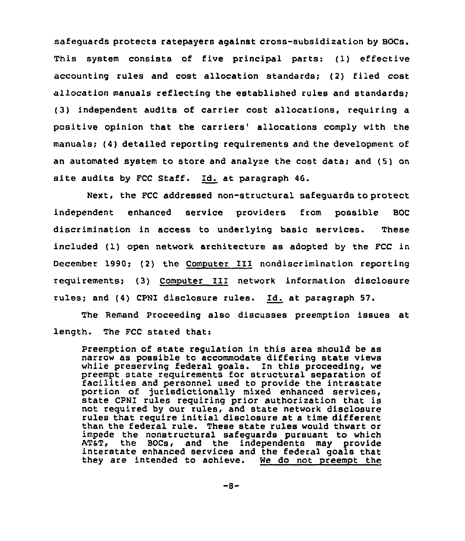safeguards protects ratepayers against cross-subsidization by BOCs. This system consists of five principal parts: (1) effective accounting rules and cost allocation standards; (2) filed cost allocation manuals reflecting the established rules and standards; (3) independent audits of carrier cost allocations, requiring a positive opinion that the carriers' allocations comply with the manuals; (4) detailed reporting requirements and the development of an automated system to store and analyze the cost data; and (5) on site audits by PCC Staff. Id. at paragraph 46.

Next, the FCC addressed non-structural safeguards to protect independent enhanced service providers from possible BOC discrimination in access to underlying basic services. These included (1) open network architecture as adopted by the FCC in December 1990; (2) the Computer III nondiscrimination reporting requirements; (3) Computer II1 network information disclosure rules; and (4) CPNI disclosure rules. Id. at paragraph 57.

The Remand Proceeding also discusses preemption issues at length. The FCC stated that:

Preemption of state regulation in this area should be as narrow as possible to accommodate differing state views while preserving federal goals. In this proceeding, we preempt state requirements for structural separation of facilities and personnel used to provide the intrastate portion of )urisdictionally mixed enhanced services, state CPNI rules requiring prior authorization that is not required by our rules, and state network disclosure rules that require initial disclosure at a time different than the federal rule. These state rules would thwart or impede the nonstructural safeguards pursuant to which interstate enhanced services and the federal goals that<br>they are intended to achieve. We do not preempt the they are intended to achieve.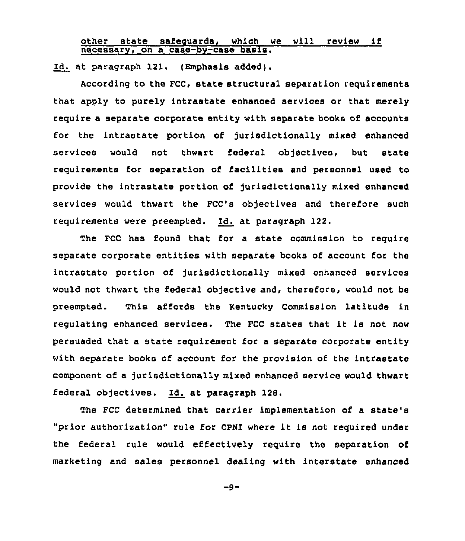other state safeguards, which we will review if necessarv, on a case-bv-case basis.

Id. at paragraph 121. (Emphasis added).

According to the FCC, state structural separation requirements that apply to purely intrastate enhanced services or that merely require a separate corporate entity with separate books of accounts for the intrastate portion of jurisdictionally mixed enhanced services would not thwart federal objectives, but state requirements for separation of facilities and personnel used to provide the intrastate portion of jurisdictionally mixed enhanced services would thwart the FCC's objectives and therefore such requirements were preempted. Id. at paragraph 122.

The FCC has found that for a state commission to require separate corporate entities with separate books of account for the intrastate portion of jurisdictionally mixed enhanced services would not thwart the federal objective and, therefore, would not be preempted. This affords the Kentucky Commission latitude in regulating enhanced services. The FCC states that it is not now persuaded that a state requirement for a separate corporate entity with separate books of account for the provision of the intrastate component of a jurisdictionally mixed enhanced service would thwart federal objectives. Id. at paragraph 128.

The FCC determined that carrier implementation of a state' "prior authorization" rule for CPN1 where it is not required under the federal rule would effectively require the separation of marketing and sales personnel dealing with interstate enhanced

 $-9-$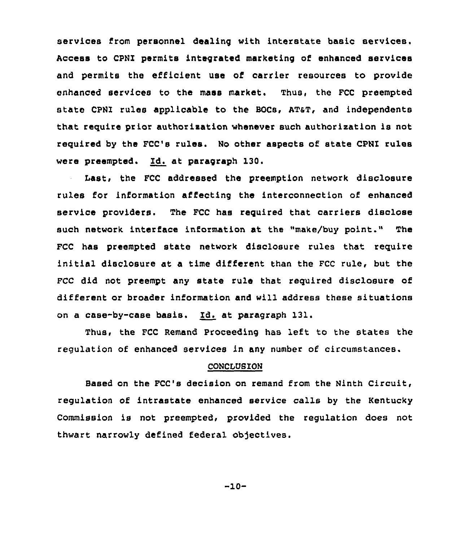services from personnel dealing with interstate basic services. Access to CPNI permits integrated marketing of enhanced services and permits the efficient use of carrier resources to provide enhanced services to the mass market. Thus, the FCC preempted state CPNI rules applicable to the BOCs, AT&T, and independents that require prior authorization whenever such authorization is not required by the FCC's rules. No other aspects of state CPNI rules were preempted. Id. at paragraph 130.

Last, the FCC addressed the preemption network disclosure rules for information affecting the interconnection of enhanced service providers. The FCC has required that carriers disclose such network interface information at the "make/buy point." The FCC has preempted state network disclosure rules that require initial disclosure at a time different than the FCC rule, but the FCC did not preempt any state rule that required disclosure of different or broader information and will address these situations on a case-by-case basis. Id. at paragraph 131.

Thus, the FCC Remand Proceeding has left to the states the regulation of enhanced services in any number of circumstances.

## CONCLUSION

Based on the FCC's decision on remand from the Ninth Circuit, regulation of intrastate enhanced service calls by the Kentucky Commission is not preempted, provided the regulation does not thwart narrowly defined federal objectives.

-10-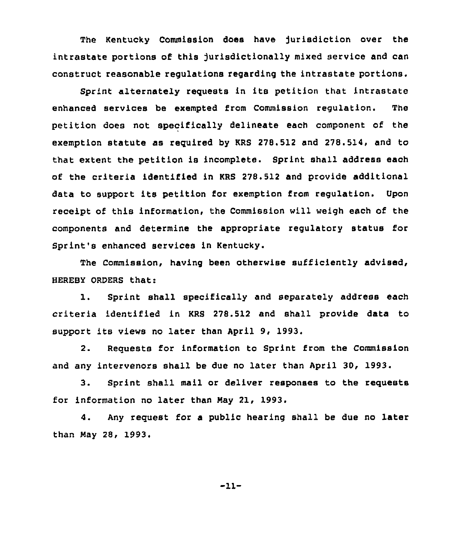The Kentucky Commission does have jurisdiction over the intrastate portions of this )urisdictionally mixed service and can construct reasonable regulations regarding the intrastate portions,

Sprint alternately requests in its petition that intrastate enhanced services be exempted from Commission regulation. The petition does not specifically delineate each component of the exemption statute as required by KRS 278.512 and 278.514, and to that extent the petition is incomplete. Sprint shall address each of the criteria identified in KRS 278.512 and provide additional data to support its petition for exemption from regulation. Upon receipt of this information, the Commission will weigh each of the components and determine the appropriate regulatory status for Sprint's enhanced services in Kentucky.

The Commission, having been otherwise sufficiently advised, HEREBY ORDERS that:

1. Sprint shall specifically and separately address each criteria identified in KRS 278.512 and shall provide data to support its views no later than April 9, 1993.

2. Requests for information to Sprint from the Commission and any intervenors shall be due no later than April 30, 1993.

3. Sprint shall mail or deliver responses to the requests for information no later than Nay 21, 1993.

4. Any request for a public hearing shall be due no later than Nay 28, 1993.

-11-